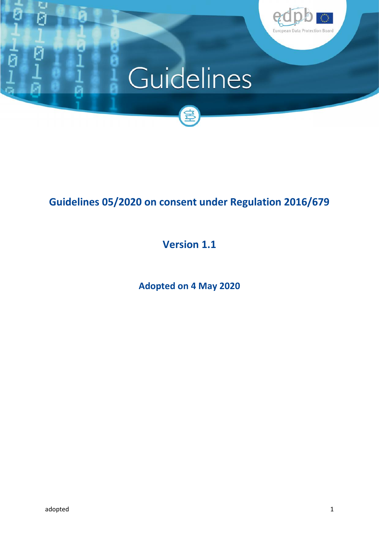

# Guidelines



# **Guidelines 05/2020 on consent under Regulation 2016/679**

# **Version 1.1**

**Adopted on 4 May 2020**

G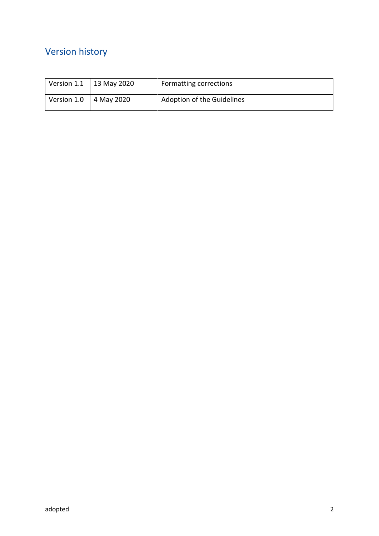## Version history

| Version 1.1 | 13 May 2020 | Formatting corrections     |
|-------------|-------------|----------------------------|
| Version 1.0 | 4 May 2020  | Adoption of the Guidelines |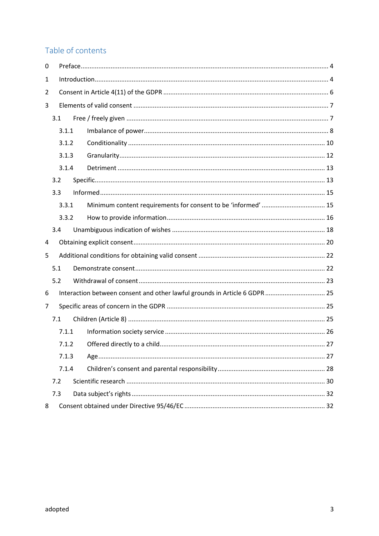## Table of contents

| 0                     |                                                                            |       |  |  |  |
|-----------------------|----------------------------------------------------------------------------|-------|--|--|--|
| 1                     |                                                                            |       |  |  |  |
| 2                     |                                                                            |       |  |  |  |
| 3                     |                                                                            |       |  |  |  |
|                       | 3.1                                                                        |       |  |  |  |
|                       | 3.1.1                                                                      |       |  |  |  |
|                       | 3.1.2<br>3.1.3<br>3.1.4                                                    |       |  |  |  |
|                       |                                                                            |       |  |  |  |
|                       |                                                                            |       |  |  |  |
| 3.2                   |                                                                            |       |  |  |  |
| 3.3                   |                                                                            |       |  |  |  |
|                       | 3.3.1                                                                      |       |  |  |  |
|                       | 3.3.2                                                                      |       |  |  |  |
| 3.4                   |                                                                            |       |  |  |  |
| 4                     |                                                                            |       |  |  |  |
| 5                     |                                                                            |       |  |  |  |
|                       | 5.1                                                                        |       |  |  |  |
|                       | 5.2                                                                        |       |  |  |  |
| 6                     | Interaction between consent and other lawful grounds in Article 6 GDPR  25 |       |  |  |  |
| 7                     |                                                                            |       |  |  |  |
| 7.1<br>7.1.1<br>7.1.2 |                                                                            |       |  |  |  |
|                       |                                                                            |       |  |  |  |
|                       |                                                                            |       |  |  |  |
|                       |                                                                            | 7.1.3 |  |  |  |
|                       |                                                                            | 7.1.4 |  |  |  |
| 7.2                   |                                                                            |       |  |  |  |
| 7.3                   |                                                                            |       |  |  |  |
| 8                     |                                                                            |       |  |  |  |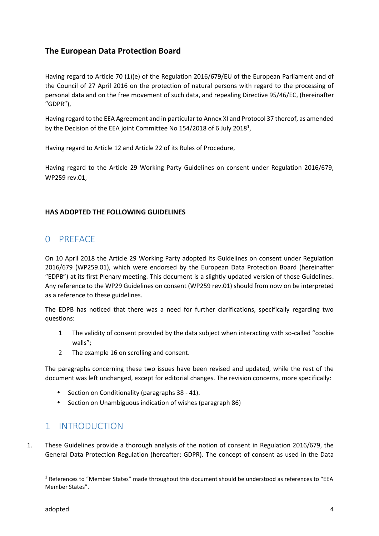#### **The European Data Protection Board**

Having regard to Article 70 (1)(e) of the Regulation 2016/679/EU of the European Parliament and of the Council of 27 April 2016 on the protection of natural persons with regard to the processing of personal data and on the free movement of such data, and repealing Directive 95/46/EC, (hereinafter "GDPR"),

Having regard to the EEA Agreement and in particular to Annex XI and Protocol 37 thereof, as amended by the Decision of the EEA joint Committee No 154/2018 of 6 July 2018<sup>1</sup>,

Having regard to Article 12 and Article 22 of its Rules of Procedure,

Having regard to the Article 29 Working Party Guidelines on consent under Regulation 2016/679, WP259 rev.01,

#### **HAS ADOPTED THE FOLLOWING GUIDELINES**

## 0 PREFACE

On 10 April 2018 the Article 29 Working Party adopted its Guidelines on consent under Regulation 2016/679 (WP259.01), which were endorsed by the European Data Protection Board (hereinafter "EDPB") at its first Plenary meeting. This document is a slightly updated version of those Guidelines. Any reference to the WP29 Guidelines on consent (WP259 rev.01) should from now on be interpreted as a reference to these guidelines.

The EDPB has noticed that there was a need for further clarifications, specifically regarding two questions:

- 1 The validity of consent provided by the data subject when interacting with so-called "cookie walls";
- 2 The example 16 on scrolling and consent.

The paragraphs concerning these two issues have been revised and updated, while the rest of the document was left unchanged, except for editorial changes. The revision concerns, more specifically:

- $\int$  Section on Conditionality (paragraphs 38 41).
- Section on Unambiguous indication of wishes (paragraph 86)

## 1 INTRODUCTION

1. These Guidelines provide a thorough analysis of the notion of consent in Regulation 2016/679, the General Data Protection Regulation (hereafter: GDPR). The concept of consent as used in the Data

<sup>1</sup> References to "Member States" made throughout this document should be understood as references to "EEA Member States".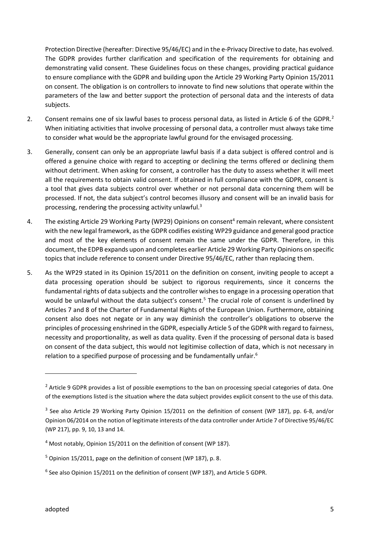Protection Directive (hereafter: Directive 95/46/EC) and in the e-Privacy Directive to date, has evolved. The GDPR provides further clarification and specification of the requirements for obtaining and demonstrating valid consent. These Guidelines focus on these changes, providing practical guidance to ensure compliance with the GDPR and building upon the Article 29 Working Party Opinion 15/2011 on consent. The obligation is on controllers to innovate to find new solutions that operate within the parameters of the law and better support the protection of personal data and the interests of data subjects.

- 2. Consent remains one of six lawful bases to process personal data, as listed in Article 6 of the GDPR.<sup>2</sup> When initiating activities that involve processing of personal data, a controller must always take time to consider what would be the appropriate lawful ground for the envisaged processing.
- 3. Generally, consent can only be an appropriate lawful basis if a data subject is offered control and is offered a genuine choice with regard to accepting or declining the terms offered or declining them without detriment. When asking for consent, a controller has the duty to assess whether it will meet all the requirements to obtain valid consent. If obtained in full compliance with the GDPR, consent is a tool that gives data subjects control over whether or not personal data concerning them will be processed. If not, the data subject's control becomes illusory and consent will be an invalid basis for processing, rendering the processing activity unlawful. $3$
- 4. The existing Article 29 Working Party (WP29) Opinions on consent<sup>4</sup> remain relevant, where consistent with the new legal framework, as the GDPR codifies existing WP29 guidance and general good practice and most of the key elements of consent remain the same under the GDPR. Therefore, in this document, the EDPB expands upon and completes earlier Article 29 Working Party Opinions on specific topics that include reference to consent under Directive 95/46/EC, rather than replacing them.
- 5. As the WP29 stated in its Opinion 15/2011 on the definition on consent, inviting people to accept a data processing operation should be subject to rigorous requirements, since it concerns the fundamental rights of data subjects and the controller wishes to engage in a processing operation that would be unlawful without the data subject's consent.<sup>5</sup> The crucial role of consent is underlined by Articles 7 and 8 of the Charter of Fundamental Rights of the European Union. Furthermore, obtaining consent also does not negate or in any way diminish the controller's obligations to observe the principles of processing enshrined in the GDPR, especially Article 5 of the GDPR with regard to fairness, necessity and proportionality, as well as data quality. Even if the processing of personal data is based on consent of the data subject, this would not legitimise collection of data, which is not necessary in relation to a specified purpose of processing and be fundamentally unfair.<sup>6</sup>

 $<sup>2</sup>$  Article 9 GDPR provides a list of possible exemptions to the ban on processing special categories of data. One</sup> of the exemptions listed is the situation where the data subject provides explicit consent to the use of this data.

<sup>3</sup> See also Article 29 Working Party Opinion 15/2011 on the definition of consent (WP 187), pp. 6-8, and/or Opinion 06/2014 on the notion of legitimate interests of the data controller under Article 7 of Directive 95/46/EC (WP 217), pp. 9, 10, 13 and 14.

<sup>4</sup> Most notably, Opinion 15/2011 on the definition of consent (WP 187).

 $5$  Opinion 15/2011, page on the definition of consent (WP 187), p. 8.

<sup>6</sup> See also Opinion 15/2011 on the definition of consent (WP 187), and Article 5 GDPR.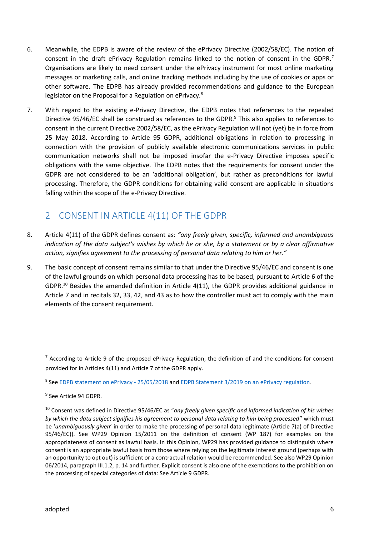- 6. Meanwhile, the EDPB is aware of the review of the ePrivacy Directive (2002/58/EC). The notion of consent in the draft ePrivacy Regulation remains linked to the notion of consent in the GDPR.<sup>7</sup> Organisations are likely to need consent under the ePrivacy instrument for most online marketing messages or marketing calls, and online tracking methods including by the use of cookies or apps or other software. The EDPB has already provided recommendations and guidance to the European legislator on the Proposal for a Regulation on ePrivacy.<sup>8</sup>
- 7. With regard to the existing e-Privacy Directive, the EDPB notes that references to the repealed Directive 95/46/EC shall be construed as references to the GDPR.<sup>9</sup> This also applies to references to consent in the current Directive 2002/58/EC, as the ePrivacy Regulation will not (yet) be in force from 25 May 2018. According to Article 95 GDPR, additional obligations in relation to processing in connection with the provision of publicly available electronic communications services in public communication networks shall not be imposed insofar the e-Privacy Directive imposes specific obligations with the same objective. The EDPB notes that the requirements for consent under the GDPR are not considered to be an 'additional obligation', but rather as preconditions for lawful processing. Therefore, the GDPR conditions for obtaining valid consent are applicable in situations falling within the scope of the e-Privacy Directive.

## 2 CONSENT IN ARTICLE 4(11) OF THE GDPR

- 8. Article 4(11) of the GDPR defines consent as: *"any freely given, specific, informed and unambiguous indication of the data subject's wishes by which he or she, by a statement or by a clear affirmative action, signifies agreement to the processing of personal data relating to him or her."*
- 9. The basic concept of consent remains similar to that under the Directive 95/46/EC and consent is one of the lawful grounds on which personal data processing has to be based, pursuant to Article 6 of the GDPR.<sup>10</sup> Besides the amended definition in Article 4(11), the GDPR provides additional guidance in Article 7 and in recitals 32, 33, 42, and 43 as to how the controller must act to comply with the main elements of the consent requirement.

 $7$  According to Article 9 of the proposed ePrivacy Regulation, the definition of and the conditions for consent provided for in Articles 4(11) and Article 7 of the GDPR apply.

<sup>8</sup> See EDPB statement on ePrivacy - 25/05/2018 and EDPB Statement 3/2019 on an ePrivacy regulation.

<sup>9</sup> See Article 94 GDPR.

<sup>10</sup> Consent was defined in Directive 95/46/EC as "*any freely given specific and informed indication of his wishes by which the data subject signifies his agreement to personal data relating to him being processed*" which must be '*unambiguously given*' in order to make the processing of personal data legitimate (Article 7(a) of Directive 95/46/EC)). See WP29 Opinion 15/2011 on the definition of consent (WP 187) for examples on the appropriateness of consent as lawful basis. In this Opinion, WP29 has provided guidance to distinguish where consent is an appropriate lawful basis from those where relying on the legitimate interest ground (perhaps with an opportunity to opt out) is sufficient or a contractual relation would be recommended. See also WP29 Opinion 06/2014, paragraph III.1.2, p. 14 and further. Explicit consent is also one of the exemptions to the prohibition on the processing of special categories of data: See Article 9 GDPR.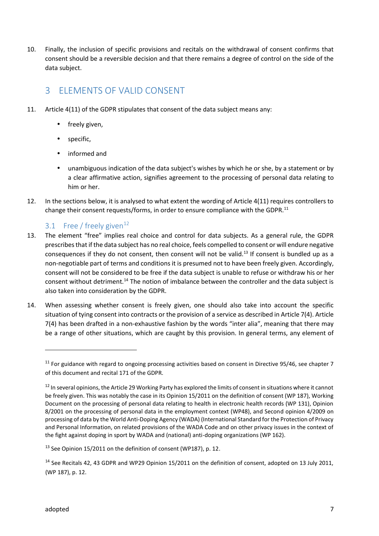10. Finally, the inclusion of specific provisions and recitals on the withdrawal of consent confirms that consent should be a reversible decision and that there remains a degree of control on the side of the data subject.

## 3 ELEMENTS OF VALID CONSENT

- 11. Article 4(11) of the GDPR stipulates that consent of the data subject means any:
	- ) freely given,
	- specific,
	- informed and
	- unambiguous indication of the data subject's wishes by which he or she, by a statement or by a clear affirmative action, signifies agreement to the processing of personal data relating to him or her.
- 12. In the sections below, it is analysed to what extent the wording of Article 4(11) requires controllers to change their consent requests/forms, in order to ensure compliance with the GDPR.<sup>11</sup>

### 3.1 Free / freely given<sup>12</sup>

- 13. The element "free" implies real choice and control for data subjects. As a general rule, the GDPR prescribes that if the data subject has no real choice, feels compelled to consent or will endure negative consequences if they do not consent, then consent will not be valid.<sup>13</sup> If consent is bundled up as a non-negotiable part of terms and conditions it is presumed not to have been freely given. Accordingly, consent will not be considered to be free if the data subject is unable to refuse or withdraw his or her consent without detriment.<sup>14</sup> The notion of imbalance between the controller and the data subject is also taken into consideration by the GDPR.
- 14. When assessing whether consent is freely given, one should also take into account the specific situation of tying consent into contracts or the provision of a service as described in Article 7(4). Article 7(4) has been drafted in a non-exhaustive fashion by the words "inter alia", meaning that there may be a range of other situations, which are caught by this provision. In general terms, any element of

 $11$  For guidance with regard to ongoing processing activities based on consent in Directive 95/46, see chapter 7 of this document and recital 171 of the GDPR.

 $12$  In several opinions, the Article 29 Working Party has explored the limits of consent in situations where it cannot be freely given. This was notably the case in its Opinion 15/2011 on the definition of consent (WP 187), Working Document on the processing of personal data relating to health in electronic health records (WP 131), Opinion 8/2001 on the processing of personal data in the employment context (WP48), and Second opinion 4/2009 on processing of data by the World Anti-Doping Agency (WADA) (International Standard for the Protection of Privacy and Personal Information, on related provisions of the WADA Code and on other privacy issues in the context of the fight against doping in sport by WADA and (national) anti-doping organizations (WP 162).

 $13$  See Opinion 15/2011 on the definition of consent (WP187), p. 12.

<sup>&</sup>lt;sup>14</sup> See Recitals 42, 43 GDPR and WP29 Opinion 15/2011 on the definition of consent, adopted on 13 July 2011, (WP 187), p. 12.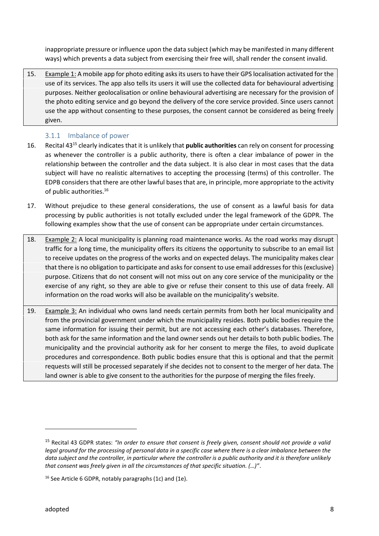inappropriate pressure or influence upon the data subject (which may be manifested in many different ways) which prevents a data subject from exercising their free will, shall render the consent invalid.

15. Example 1: A mobile app for photo editing asks its users to have their GPS localisation activated for the use of its services. The app also tells its users it will use the collected data for behavioural advertising purposes. Neither geolocalisation or online behavioural advertising are necessary for the provision of the photo editing service and go beyond the delivery of the core service provided. Since users cannot use the app without consenting to these purposes, the consent cannot be considered as being freely given.

#### 3.1.1 Imbalance of power

- 16. Recital 43<sup>15</sup> clearly indicates that it is unlikely that **public authorities** can rely on consent for processing as whenever the controller is a public authority, there is often a clear imbalance of power in the relationship between the controller and the data subject. It is also clear in most cases that the data subject will have no realistic alternatives to accepting the processing (terms) of this controller. The EDPB considers that there are other lawful bases that are, in principle, more appropriate to the activity of public authorities.<sup>16</sup>
- 17. Without prejudice to these general considerations, the use of consent as a lawful basis for data processing by public authorities is not totally excluded under the legal framework of the GDPR. The following examples show that the use of consent can be appropriate under certain circumstances.
- 18. Example 2: A local municipality is planning road maintenance works. As the road works may disrupt traffic for a long time, the municipality offers its citizens the opportunity to subscribe to an email list to receive updates on the progress of the works and on expected delays. The municipality makes clear that there is no obligation to participate and asks for consent to use email addresses for this (exclusive) purpose. Citizens that do not consent will not miss out on any core service of the municipality or the exercise of any right, so they are able to give or refuse their consent to this use of data freely. All information on the road works will also be available on the municipality's website.
- 19. Example 3: An individual who owns land needs certain permits from both her local municipality and from the provincial government under which the municipality resides. Both public bodies require the same information for issuing their permit, but are not accessing each other's databases. Therefore, both ask for the same information and the land owner sends out her details to both public bodies. The municipality and the provincial authority ask for her consent to merge the files, to avoid duplicate procedures and correspondence. Both public bodies ensure that this is optional and that the permit requests will still be processed separately if she decides not to consent to the merger of her data. The land owner is able to give consent to the authorities for the purpose of merging the files freely.

<sup>15</sup> Recital 43 GDPR states: *"In order to ensure that consent is freely given, consent should not provide a valid legal ground for the processing of personal data in a specific case where there is a clear imbalance between the data subject and the controller, in particular where the controller is a public authority and it is therefore unlikely that consent was freely given in all the circumstances of that specific situation. (…)"*.

<sup>&</sup>lt;sup>16</sup> See Article 6 GDPR, notably paragraphs (1c) and (1e).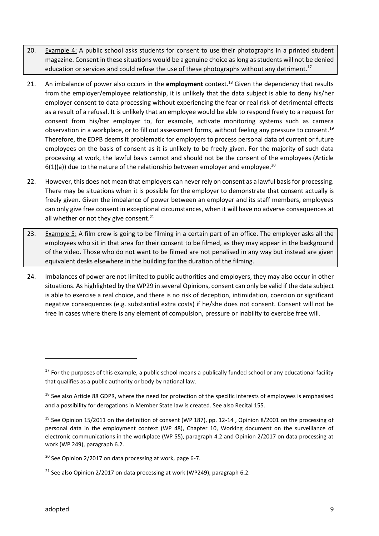- 20. Example 4: A public school asks students for consent to use their photographs in a printed student magazine. Consent in these situations would be a genuine choice as long as students will not be denied education or services and could refuse the use of these photographs without any detriment.<sup>17</sup>
- 21. An imbalance of power also occurs in the **employment** context.<sup>18</sup> Given the dependency that results from the employer/employee relationship, it is unlikely that the data subject is able to deny his/her employer consent to data processing without experiencing the fear or real risk of detrimental effects as a result of a refusal. It is unlikely that an employee would be able to respond freely to a request for consent from his/her employer to, for example, activate monitoring systems such as camera observation in a workplace, or to fill out assessment forms, without feeling any pressure to consent.<sup>19</sup> Therefore, the EDPB deems it problematic for employers to process personal data of current or future employees on the basis of consent as it is unlikely to be freely given. For the majority of such data processing at work, the lawful basis cannot and should not be the consent of the employees (Article  $6(1)(a)$ ) due to the nature of the relationship between employer and employee.<sup>20</sup>
- 22. However, this does not mean that employers can never rely on consent as a lawful basis for processing. There may be situations when it is possible for the employer to demonstrate that consent actually is freely given. Given the imbalance of power between an employer and its staff members, employees can only give free consent in exceptional circumstances, when it will have no adverse consequences at all whether or not they give consent. $^{21}$
- 23. Example 5: A film crew is going to be filming in a certain part of an office. The employer asks all the employees who sit in that area for their consent to be filmed, as they may appear in the background of the video. Those who do not want to be filmed are not penalised in any way but instead are given equivalent desks elsewhere in the building for the duration of the filming.
- 24. Imbalances of power are not limited to public authorities and employers, they may also occur in other situations. As highlighted by the WP29 in several Opinions, consent can only be valid if the data subject is able to exercise a real choice, and there is no risk of deception, intimidation, coercion or significant negative consequences (e.g. substantial extra costs) if he/she does not consent. Consent will not be free in cases where there is any element of compulsion, pressure or inability to exercise free will.

 $17$  For the purposes of this example, a public school means a publically funded school or any educational facility that qualifies as a public authority or body by national law.

<sup>&</sup>lt;sup>18</sup> See also Article 88 GDPR, where the need for protection of the specific interests of employees is emphasised and a possibility for derogations in Member State law is created. See also Recital 155.

<sup>&</sup>lt;sup>19</sup> See Opinion 15/2011 on the definition of consent (WP 187), pp. 12-14, Opinion 8/2001 on the processing of personal data in the employment context (WP 48), Chapter 10, Working document on the surveillance of electronic communications in the workplace (WP 55), paragraph 4.2 and Opinion 2/2017 on data processing at work (WP 249), paragraph 6.2.

 $20$  See Opinion 2/2017 on data processing at work, page 6-7.

<sup>&</sup>lt;sup>21</sup> See also Opinion 2/2017 on data processing at work (WP249), paragraph 6.2.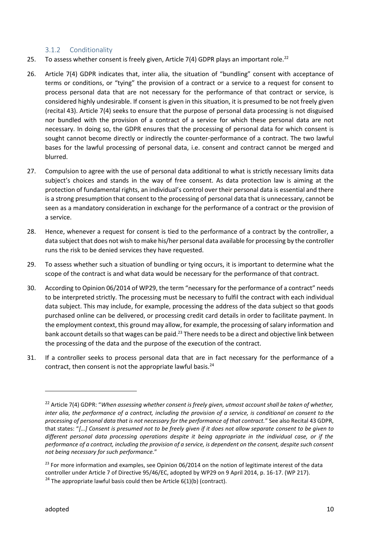#### 3.1.2 Conditionality

- 25. To assess whether consent is freely given, Article 7(4) GDPR plays an important role.<sup>22</sup>
- 26. Article 7(4) GDPR indicates that, inter alia, the situation of "bundling" consent with acceptance of terms or conditions, or "tying" the provision of a contract or a service to a request for consent to process personal data that are not necessary for the performance of that contract or service, is considered highly undesirable. If consent is given in this situation, it is presumed to be not freely given (recital 43). Article 7(4) seeks to ensure that the purpose of personal data processing is not disguised nor bundled with the provision of a contract of a service for which these personal data are not necessary. In doing so, the GDPR ensures that the processing of personal data for which consent is sought cannot become directly or indirectly the counter-performance of a contract. The two lawful bases for the lawful processing of personal data, i.e. consent and contract cannot be merged and blurred.
- 27. Compulsion to agree with the use of personal data additional to what is strictly necessary limits data subject's choices and stands in the way of free consent. As data protection law is aiming at the protection of fundamental rights, an individual's control over their personal data is essential and there is a strong presumption that consent to the processing of personal data that is unnecessary, cannot be seen as a mandatory consideration in exchange for the performance of a contract or the provision of a service.
- 28. Hence, whenever a request for consent is tied to the performance of a contract by the controller, a data subject that does not wish to make his/her personal data available for processing by the controller runs the risk to be denied services they have requested.
- 29. To assess whether such a situation of bundling or tying occurs, it is important to determine what the scope of the contract is and what data would be necessary for the performance of that contract.
- 30. According to Opinion 06/2014 of WP29, the term "necessary for the performance of a contract" needs to be interpreted strictly. The processing must be necessary to fulfil the contract with each individual data subject. This may include, for example, processing the address of the data subject so that goods purchased online can be delivered, or processing credit card details in order to facilitate payment. In the employment context, this ground may allow, for example, the processing of salary information and bank account details so that wages can be paid.<sup>23</sup> There needs to be a direct and objective link between the processing of the data and the purpose of the execution of the contract.
- 31. If a controller seeks to process personal data that are in fact necessary for the performance of a contract, then consent is not the appropriate lawful basis. $24$

<sup>22</sup> Article 7(4) GDPR: "*When assessing whether consent is freely given, utmost account shall be taken of whether, inter alia, the performance of a contract, including the provision of a service, is conditional on consent to the processing of personal data that is not necessary for the performance of that contract.*" See also Recital 43 GDPR, that states: "*[…] Consent is presumed not to be freely given if it does not allow separate consent to be given to different personal data processing operations despite it being appropriate in the individual case, or if the performance of a contract, including the provision of a service, is dependent on the consent, despite such consent not being necessary for such performance.*"

<sup>&</sup>lt;sup>23</sup> For more information and examples, see Opinion 06/2014 on the notion of legitimate interest of the data controller under Article 7 of Directive 95/46/EC, adopted by WP29 on 9 April 2014, p. 16-17. (WP 217). <sup>24</sup> The appropriate lawful basis could then be Article  $6(1)(b)$  (contract).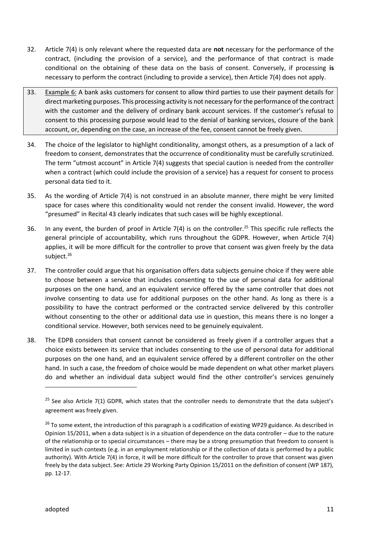- 32. Article 7(4) is only relevant where the requested data are **not** necessary for the performance of the contract, (including the provision of a service), and the performance of that contract is made conditional on the obtaining of these data on the basis of consent. Conversely, if processing **is** necessary to perform the contract (including to provide a service), then Article 7(4) does not apply.
- 33. Example 6: A bank asks customers for consent to allow third parties to use their payment details for direct marketing purposes. This processing activity is not necessary for the performance of the contract with the customer and the delivery of ordinary bank account services. If the customer's refusal to consent to this processing purpose would lead to the denial of banking services, closure of the bank account, or, depending on the case, an increase of the fee, consent cannot be freely given.
- 34. The choice of the legislator to highlight conditionality, amongst others, as a presumption of a lack of freedom to consent, demonstrates that the occurrence of conditionality must be carefully scrutinized. The term "utmost account" in Article 7(4) suggests that special caution is needed from the controller when a contract (which could include the provision of a service) has a request for consent to process personal data tied to it.
- 35. As the wording of Article 7(4) is not construed in an absolute manner, there might be very limited space for cases where this conditionality would not render the consent invalid. However, the word "presumed" in Recital 43 clearly indicates that such cases will be highly exceptional.
- 36. In any event, the burden of proof in Article 7(4) is on the controller.<sup>25</sup> This specific rule reflects the general principle of accountability, which runs throughout the GDPR. However, when Article 7(4) applies, it will be more difficult for the controller to prove that consent was given freely by the data subject.<sup>26</sup>
- 37. The controller could argue that his organisation offers data subjects genuine choice if they were able to choose between a service that includes consenting to the use of personal data for additional purposes on the one hand, and an equivalent service offered by the same controller that does not involve consenting to data use for additional purposes on the other hand. As long as there is a possibility to have the contract performed or the contracted service delivered by this controller without consenting to the other or additional data use in question, this means there is no longer a conditional service. However, both services need to be genuinely equivalent.
- 38. The EDPB considers that consent cannot be considered as freely given if a controller argues that a choice exists between its service that includes consenting to the use of personal data for additional purposes on the one hand, and an equivalent service offered by a different controller on the other hand. In such a case, the freedom of choice would be made dependent on what other market players do and whether an individual data subject would find the other controller's services genuinely

 $25$  See also Article 7(1) GDPR, which states that the controller needs to demonstrate that the data subject's agreement was freely given.

<sup>&</sup>lt;sup>26</sup> To some extent, the introduction of this paragraph is a codification of existing WP29 guidance. As described in Opinion 15/2011, when a data subject is in a situation of dependence on the data controller – due to the nature of the relationship or to special circumstances – there may be a strong presumption that freedom to consent is limited in such contexts (e.g. in an employment relationship or if the collection of data is performed by a public authority). With Article 7(4) in force, it will be more difficult for the controller to prove that consent was given freely by the data subject. See: Article 29 Working Party Opinion 15/2011 on the definition of consent (WP 187), pp. 12-17.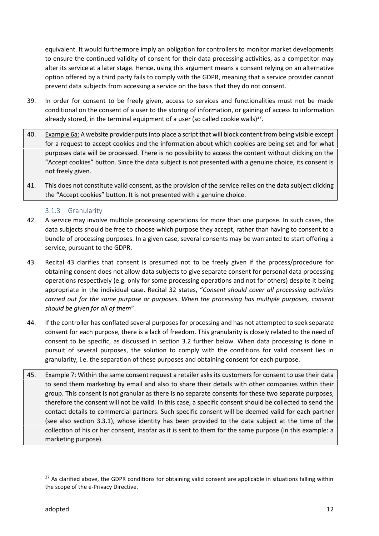equivalent. It would furthermore imply an obligation for controllers to monitor market developments to ensure the continued validity of consent for their data processing activities, as a competitor may alter its service at a later stage. Hence, using this argument means a consent relying on an alternative option offered by a third party fails to comply with the GDPR, meaning that a service provider cannot prevent data subjects from accessing a service on the basis that they do not consent.

- 39. In order for consent to be freely given, access to services and functionalities must not be made conditional on the consent of a user to the storing of information, or gaining of access to information already stored, in the terminal equipment of a user (so called cookie walls)<sup>27</sup>.
- 40. Example 6a: A website provider puts into place a script that will block content from being visible except for a request to accept cookies and the information about which cookies are being set and for what purposes data will be processed. There is no possibility to access the content without clicking on the "Accept cookies" button. Since the data subject is not presented with a genuine choice, its consent is not freely given.
- 41. This does not constitute valid consent, as the provision of the service relies on the data subject clicking the "Accept cookies" button. It is not presented with a genuine choice.

#### 3.1.3 Granularity

- 42. A service may involve multiple processing operations for more than one purpose. In such cases, the data subjects should be free to choose which purpose they accept, rather than having to consent to a bundle of processing purposes. In a given case, several consents may be warranted to start offering a service, pursuant to the GDPR.
- 43. Recital 43 clarifies that consent is presumed not to be freely given if the process/procedure for obtaining consent does not allow data subjects to give separate consent for personal data processing operations respectively (e.g. only for some processing operations and not for others) despite it being appropriate in the individual case. Recital 32 states, "*Consent should cover all processing activities carried out for the same purpose or purposes. When the processing has multiple purposes, consent should be given for all of them*".
- 44. If the controller has conflated several purposes for processing and has not attempted to seek separate consent for each purpose, there is a lack of freedom. This granularity is closely related to the need of consent to be specific, as discussed in section 3.2 further below. When data processing is done in pursuit of several purposes, the solution to comply with the conditions for valid consent lies in granularity, i.e. the separation of these purposes and obtaining consent for each purpose.
- 45. Example 7: Within the same consent request a retailer asks its customers for consent to use their data to send them marketing by email and also to share their details with other companies within their group. This consent is not granular as there is no separate consents for these two separate purposes, therefore the consent will not be valid. In this case, a specific consent should be collected to send the contact details to commercial partners. Such specific consent will be deemed valid for each partner (see also section 3.3.1), whose identity has been provided to the data subject at the time of the collection of his or her consent, insofar as it is sent to them for the same purpose (in this example: a marketing purpose).

 $27$  As clarified above, the GDPR conditions for obtaining valid consent are applicable in situations falling within the scope of the e-Privacy Directive.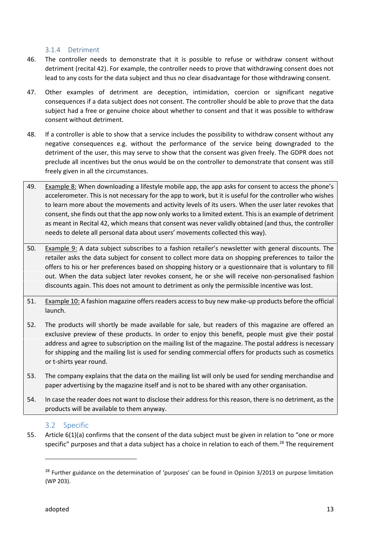#### 3.1.4 Detriment

- 46. The controller needs to demonstrate that it is possible to refuse or withdraw consent without detriment (recital 42). For example, the controller needs to prove that withdrawing consent does not lead to any costs for the data subject and thus no clear disadvantage for those withdrawing consent.
- 47. Other examples of detriment are deception, intimidation, coercion or significant negative consequences if a data subject does not consent. The controller should be able to prove that the data subject had a free or genuine choice about whether to consent and that it was possible to withdraw consent without detriment.
- 48. If a controller is able to show that a service includes the possibility to withdraw consent without any negative consequences e.g. without the performance of the service being downgraded to the detriment of the user, this may serve to show that the consent was given freely. The GDPR does not preclude all incentives but the onus would be on the controller to demonstrate that consent was still freely given in all the circumstances.
- 49. Example 8: When downloading a lifestyle mobile app, the app asks for consent to access the phone's accelerometer. This is not necessary for the app to work, but it is useful for the controller who wishes to learn more about the movements and activity levels of its users. When the user later revokes that consent, she finds out that the app now only works to a limited extent. This is an example of detriment as meant in Recital 42, which means that consent was never validly obtained (and thus, the controller needs to delete all personal data about users' movements collected this way).
- 50. Example 9: A data subject subscribes to a fashion retailer's newsletter with general discounts. The retailer asks the data subject for consent to collect more data on shopping preferences to tailor the offers to his or her preferences based on shopping history or a questionnaire that is voluntary to fill out. When the data subject later revokes consent, he or she will receive non-personalised fashion discounts again. This does not amount to detriment as only the permissible incentive was lost.
- 51. Example 10: A fashion magazine offers readers access to buy new make-up products before the official launch.
- 52. The products will shortly be made available for sale, but readers of this magazine are offered an exclusive preview of these products. In order to enjoy this benefit, people must give their postal address and agree to subscription on the mailing list of the magazine. The postal address is necessary for shipping and the mailing list is used for sending commercial offers for products such as cosmetics or t-shirts year round.
- 53. The company explains that the data on the mailing list will only be used for sending merchandise and paper advertising by the magazine itself and is not to be shared with any other organisation.
- 54. In case the reader does not want to disclose their address for this reason, there is no detriment, as the products will be available to them anyway.

#### 3.2 Specific

55. Article 6(1)(a) confirms that the consent of the data subject must be given in relation to "one or more specific" purposes and that a data subject has a choice in relation to each of them.<sup>28</sup> The requirement

<sup>&</sup>lt;sup>28</sup> Further guidance on the determination of 'purposes' can be found in Opinion 3/2013 on purpose limitation (WP 203).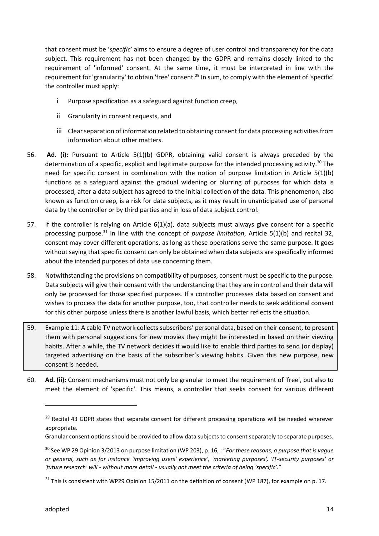that consent must be '*specific'* aims to ensure a degree of user control and transparency for the data subject. This requirement has not been changed by the GDPR and remains closely linked to the requirement of 'informed' consent. At the same time, it must be interpreted in line with the requirement for 'granularity' to obtain 'free' consent.<sup>29</sup> In sum, to comply with the element of 'specific' the controller must apply:

- i Purpose specification as a safeguard against function creep,
- ii Granularity in consent requests, and
- iii Clear separation of information related to obtaining consent for data processing activities from information about other matters.
- 56. **Ad. (i):** Pursuant to Article 5(1)(b) GDPR, obtaining valid consent is always preceded by the determination of a specific, explicit and legitimate purpose for the intended processing activity.<sup>30</sup> The need for specific consent in combination with the notion of purpose limitation in Article 5(1)(b) functions as a safeguard against the gradual widening or blurring of purposes for which data is processed, after a data subject has agreed to the initial collection of the data. This phenomenon, also known as function creep, is a risk for data subjects, as it may result in unanticipated use of personal data by the controller or by third parties and in loss of data subject control.
- 57. If the controller is relying on Article 6(1)(a), data subjects must always give consent for a specific processing purpose.<sup>31</sup> In line with the concept of *purpose limitation*, Article 5(1)(b) and recital 32, consent may cover different operations, as long as these operations serve the same purpose. It goes without saying that specific consent can only be obtained when data subjects are specifically informed about the intended purposes of data use concerning them.
- 58. Notwithstanding the provisions on compatibility of purposes, consent must be specific to the purpose. Data subjects will give their consent with the understanding that they are in control and their data will only be processed for those specified purposes. If a controller processes data based on consent and wishes to process the data for another purpose, too, that controller needs to seek additional consent for this other purpose unless there is another lawful basis, which better reflects the situation.
- 59. Example 11: A cable TV network collects subscribers' personal data, based on their consent, to present them with personal suggestions for new movies they might be interested in based on their viewing habits. After a while, the TV network decides it would like to enable third parties to send (or display) targeted advertising on the basis of the subscriber's viewing habits. Given this new purpose, new consent is needed.
- 60. **Ad. (ii):** Consent mechanisms must not only be granular to meet the requirement of 'free', but also to meet the element of 'specific'. This means, a controller that seeks consent for various different

<sup>&</sup>lt;sup>29</sup> Recital 43 GDPR states that separate consent for different processing operations will be needed wherever appropriate.

Granular consent options should be provided to allow data subjects to consent separately to separate purposes.

<sup>30</sup> See WP 29 Opinion 3/2013 on purpose limitation (WP 203), p. 16, : "*For these reasons, a purpose that is vague or general, such as for instance 'improving users' experience', 'marketing purposes', 'IT-security purposes' or 'future research' will - without more detail - usually not meet the criteria of being 'specific'.*"

 $31$  This is consistent with WP29 Opinion 15/2011 on the definition of consent (WP 187), for example on p. 17.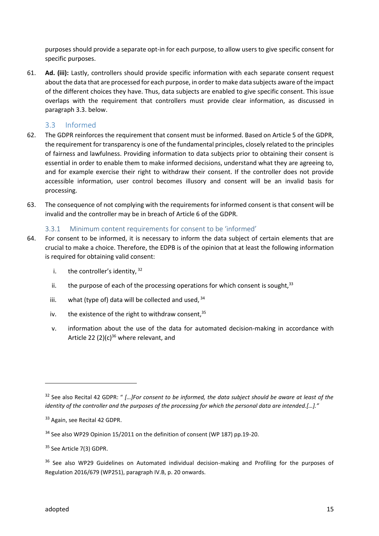purposes should provide a separate opt-in for each purpose, to allow users to give specific consent for specific purposes.

61. **Ad. (iii):** Lastly, controllers should provide specific information with each separate consent request about the data that are processed for each purpose, in order to make data subjects aware of the impact of the different choices they have. Thus, data subjects are enabled to give specific consent. This issue overlaps with the requirement that controllers must provide clear information, as discussed in paragraph 3.3. below.

#### 3.3 Informed

- 62. The GDPR reinforces the requirement that consent must be informed. Based on Article 5 of the GDPR, the requirement for transparency is one of the fundamental principles, closely related to the principles of fairness and lawfulness. Providing information to data subjects prior to obtaining their consent is essential in order to enable them to make informed decisions, understand what they are agreeing to, and for example exercise their right to withdraw their consent. If the controller does not provide accessible information, user control becomes illusory and consent will be an invalid basis for processing.
- 63. The consequence of not complying with the requirements for informed consent is that consent will be invalid and the controller may be in breach of Article 6 of the GDPR.

#### 3.3.1 Minimum content requirements for consent to be 'informed'

- 64. For consent to be informed, it is necessary to inform the data subject of certain elements that are crucial to make a choice. Therefore, the EDPB is of the opinion that at least the following information is required for obtaining valid consent:
	- i. the controller's identity,  $32$
	- ii. the purpose of each of the processing operations for which consent is sought, $33$
	- iii. what (type of) data will be collected and used,  $34$
	- iv. the existence of the right to withdraw consent,  $35$
	- v. information about the use of the data for automated decision-making in accordance with Article 22 (2)(c)<sup>36</sup> where relevant, and

<sup>32</sup> See also Recital 42 GDPR: " *[…]For consent to be informed, the data subject should be aware at least of the identity of the controller and the purposes of the processing for which the personal data are intended.[…]."*

<sup>33</sup> Again, see Recital 42 GDPR.

<sup>&</sup>lt;sup>34</sup> See also WP29 Opinion 15/2011 on the definition of consent (WP 187) pp.19-20.

<sup>&</sup>lt;sup>35</sup> See Article 7(3) GDPR.

<sup>&</sup>lt;sup>36</sup> See also WP29 Guidelines on Automated individual decision-making and Profiling for the purposes of Regulation 2016/679 (WP251), paragraph IV.B, p. 20 onwards.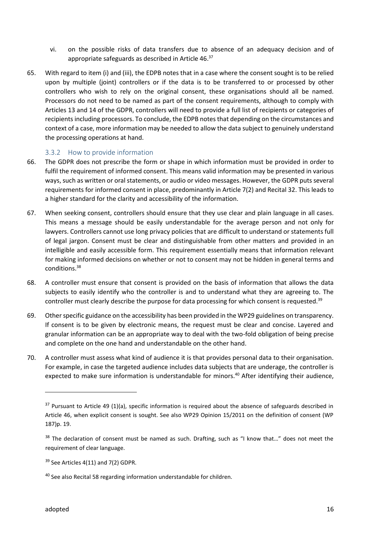- vi. on the possible risks of data transfers due to absence of an adequacy decision and of appropriate safeguards as described in Article 46.<sup>37</sup>
- 65. With regard to item (i) and (iii), the EDPB notes that in a case where the consent sought is to be relied upon by multiple (joint) controllers or if the data is to be transferred to or processed by other controllers who wish to rely on the original consent, these organisations should all be named. Processors do not need to be named as part of the consent requirements, although to comply with Articles 13 and 14 of the GDPR, controllers will need to provide a full list of recipients or categories of recipients including processors. To conclude, the EDPB notes that depending on the circumstances and context of a case, more information may be needed to allow the data subject to genuinely understand the processing operations at hand.

#### 3.3.2 How to provide information

- 66. The GDPR does not prescribe the form or shape in which information must be provided in order to fulfil the requirement of informed consent. This means valid information may be presented in various ways, such as written or oral statements, or audio or video messages. However, the GDPR puts several requirements for informed consent in place, predominantly in Article 7(2) and Recital 32. This leads to a higher standard for the clarity and accessibility of the information.
- 67. When seeking consent, controllers should ensure that they use clear and plain language in all cases. This means a message should be easily understandable for the average person and not only for lawyers. Controllers cannot use long privacy policies that are difficult to understand or statements full of legal jargon. Consent must be clear and distinguishable from other matters and provided in an intelligible and easily accessible form. This requirement essentially means that information relevant for making informed decisions on whether or not to consent may not be hidden in general terms and conditions.<sup>38</sup>
- 68. A controller must ensure that consent is provided on the basis of information that allows the data subjects to easily identify who the controller is and to understand what they are agreeing to. The controller must clearly describe the purpose for data processing for which consent is requested.<sup>39</sup>
- 69. Other specific guidance on the accessibility has been provided in the WP29 guidelines on transparency. If consent is to be given by electronic means, the request must be clear and concise. Layered and granular information can be an appropriate way to deal with the two-fold obligation of being precise and complete on the one hand and understandable on the other hand.
- 70. A controller must assess what kind of audience it is that provides personal data to their organisation. For example, in case the targeted audience includes data subjects that are underage, the controller is expected to make sure information is understandable for minors.<sup>40</sup> After identifying their audience,

 $37$  Pursuant to Article 49 (1)(a), specific information is required about the absence of safeguards described in Article 46, when explicit consent is sought. See also WP29 Opinion 15/2011 on the definition of consent (WP 187)p. 19.

<sup>&</sup>lt;sup>38</sup> The declaration of consent must be named as such. Drafting, such as "I know that..." does not meet the requirement of clear language.

 $39$  See Articles 4(11) and 7(2) GDPR.

<sup>&</sup>lt;sup>40</sup> See also Recital 58 regarding information understandable for children.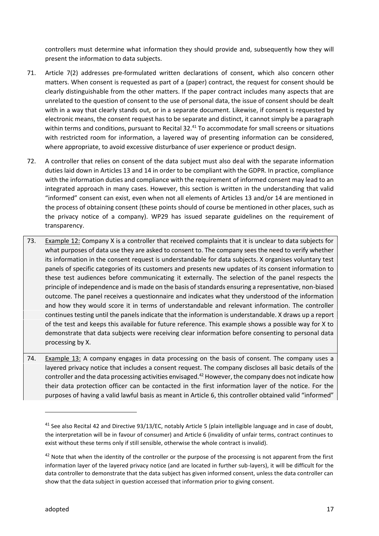controllers must determine what information they should provide and, subsequently how they will present the information to data subjects.

- 71. Article 7(2) addresses pre-formulated written declarations of consent, which also concern other matters. When consent is requested as part of a (paper) contract, the request for consent should be clearly distinguishable from the other matters. If the paper contract includes many aspects that are unrelated to the question of consent to the use of personal data, the issue of consent should be dealt with in a way that clearly stands out, or in a separate document. Likewise, if consent is requested by electronic means, the consent request has to be separate and distinct, it cannot simply be a paragraph within terms and conditions, pursuant to Recital 32.<sup>41</sup> To accommodate for small screens or situations with restricted room for information, a layered way of presenting information can be considered, where appropriate, to avoid excessive disturbance of user experience or product design.
- 72. A controller that relies on consent of the data subject must also deal with the separate information duties laid down in Articles 13 and 14 in order to be compliant with the GDPR. In practice, compliance with the information duties and compliance with the requirement of informed consent may lead to an integrated approach in many cases. However, this section is written in the understanding that valid "informed" consent can exist, even when not all elements of Articles 13 and/or 14 are mentioned in the process of obtaining consent (these points should of course be mentioned in other places, such as the privacy notice of a company). WP29 has issued separate guidelines on the requirement of transparency.
- 73. Example 12: Company X is a controller that received complaints that it is unclear to data subjects for what purposes of data use they are asked to consent to. The company sees the need to verify whether its information in the consent request is understandable for data subjects. X organises voluntary test panels of specific categories of its customers and presents new updates of its consent information to these test audiences before communicating it externally. The selection of the panel respects the principle of independence and is made on the basis of standards ensuring a representative, non-biased outcome. The panel receives a questionnaire and indicates what they understood of the information and how they would score it in terms of understandable and relevant information. The controller continues testing until the panels indicate that the information is understandable. X draws up a report of the test and keeps this available for future reference. This example shows a possible way for X to demonstrate that data subjects were receiving clear information before consenting to personal data processing by X.
- 74. Example 13: A company engages in data processing on the basis of consent. The company uses a layered privacy notice that includes a consent request. The company discloses all basic details of the controller and the data processing activities envisaged. $42$  However, the company does not indicate how their data protection officer can be contacted in the first information layer of the notice. For the purposes of having a valid lawful basis as meant in Article 6, this controller obtained valid "informed"

<sup>&</sup>lt;sup>41</sup> See also Recital 42 and Directive 93/13/EC, notably Article 5 (plain intelligible language and in case of doubt, the interpretation will be in favour of consumer) and Article 6 (invalidity of unfair terms, contract continues to exist without these terms only if still sensible, otherwise the whole contract is invalid).

<sup>&</sup>lt;sup>42</sup> Note that when the identity of the controller or the purpose of the processing is not apparent from the first information layer of the layered privacy notice (and are located in further sub-layers), it will be difficult for the data controller to demonstrate that the data subject has given informed consent, unless the data controller can show that the data subject in question accessed that information prior to giving consent.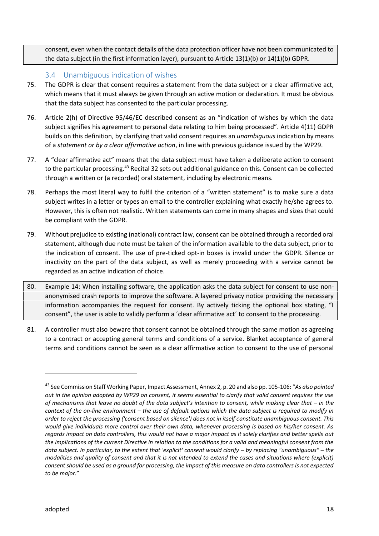consent, even when the contact details of the data protection officer have not been communicated to the data subject (in the first information layer), pursuant to Article 13(1)(b) or 14(1)(b) GDPR.

#### 3.4 Unambiguous indication of wishes

- 75. The GDPR is clear that consent requires a statement from the data subject or a clear affirmative act, which means that it must always be given through an active motion or declaration. It must be obvious that the data subject has consented to the particular processing.
- 76. Article 2(h) of Directive 95/46/EC described consent as an "indication of wishes by which the data subject signifies his agreement to personal data relating to him being processed". Article 4(11) GDPR builds on this definition, by clarifying that valid consent requires an *unambiguous* indication by means of a *statement or by a clear affirmative action*, in line with previous guidance issued by the WP29.
- 77. A "clear affirmative act" means that the data subject must have taken a deliberate action to consent to the particular processing.<sup>43</sup> Recital 32 sets out additional guidance on this. Consent can be collected through a written or (a recorded) oral statement, including by electronic means.
- 78. Perhaps the most literal way to fulfil the criterion of a "written statement" is to make sure a data subject writes in a letter or types an email to the controller explaining what exactly he/she agrees to. However, this is often not realistic. Written statements can come in many shapes and sizes that could be compliant with the GDPR.
- 79. Without prejudice to existing (national) contract law, consent can be obtained through a recorded oral statement, although due note must be taken of the information available to the data subject, prior to the indication of consent. The use of pre-ticked opt-in boxes is invalid under the GDPR. Silence or inactivity on the part of the data subject, as well as merely proceeding with a service cannot be regarded as an active indication of choice.
- 80. Example 14: When installing software, the application asks the data subject for consent to use non anonymised crash reports to improve the software. A layered privacy notice providing the necessary information accompanies the request for consent. By actively ticking the optional box stating, "I consent", the user is able to validly perform a ´clear affirmative act´ to consent to the processing.
- 81. A controller must also beware that consent cannot be obtained through the same motion as agreeing to a contract or accepting general terms and conditions of a service. Blanket acceptance of general terms and conditions cannot be seen as a clear affirmative action to consent to the use of personal

<sup>43</sup> See Commission Staff Working Paper, Impact Assessment, Annex 2, p. 20 and also pp. 105-106: "*As also pointed out in the opinion adopted by WP29 on consent, it seems essential to clarify that valid consent requires the use of mechanisms that leave no doubt of the data subject's intention to consent, while making clear that – in the context of the on-line environment – the use of default options which the data subject is required to modify in order to reject the processing ('consent based on silence') does not in itself constitute unambiguous consent. This would give individuals more control over their own data, whenever processing is based on his/her consent. As regards impact on data controllers, this would not have a major impact as it solely clarifies and better spells out the implications of the current Directive in relation to the conditions for a valid and meaningful consent from the data subject. In particular, to the extent that 'explicit' consent would clarify – by replacing "unambiguous" – the modalities and quality of consent and that it is not intended to extend the cases and situations where (explicit) consent should be used as a ground for processing, the impact of this measure on data controllers is not expected to be major.*"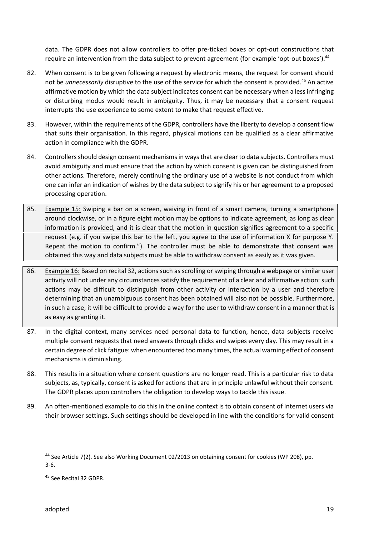data. The GDPR does not allow controllers to offer pre-ticked boxes or opt-out constructions that require an intervention from the data subject to prevent agreement (for example 'opt-out boxes').<sup>44</sup>

- 82. When consent is to be given following a request by electronic means, the request for consent should not be *unnecessarily* disruptive to the use of the service for which the consent is provided.<sup>45</sup> An active affirmative motion by which the data subject indicates consent can be necessary when a less infringing or disturbing modus would result in ambiguity. Thus, it may be necessary that a consent request interrupts the use experience to some extent to make that request effective.
- 83. However, within the requirements of the GDPR, controllers have the liberty to develop a consent flow that suits their organisation. In this regard, physical motions can be qualified as a clear affirmative action in compliance with the GDPR.
- 84. Controllers should design consent mechanisms in ways that are clear to data subjects. Controllers must avoid ambiguity and must ensure that the action by which consent is given can be distinguished from other actions. Therefore, merely continuing the ordinary use of a website is not conduct from which one can infer an indication of wishes by the data subject to signify his or her agreement to a proposed processing operation.
- 85. Example 15: Swiping a bar on a screen, waiving in front of a smart camera, turning a smartphone around clockwise, or in a figure eight motion may be options to indicate agreement, as long as clear information is provided, and it is clear that the motion in question signifies agreement to a specific request (e.g. if you swipe this bar to the left, you agree to the use of information X for purpose Y. Repeat the motion to confirm."). The controller must be able to demonstrate that consent was obtained this way and data subjects must be able to withdraw consent as easily as it was given.
- 86. Example 16: Based on recital 32, actions such as scrolling or swiping through a webpage or similar user activity will not under any circumstances satisfy the requirement of a clear and affirmative action: such actions may be difficult to distinguish from other activity or interaction by a user and therefore determining that an unambiguous consent has been obtained will also not be possible. Furthermore, in such a case, it will be difficult to provide a way for the user to withdraw consent in a manner that is as easy as granting it.
- 87. In the digital context, many services need personal data to function, hence, data subjects receive multiple consent requests that need answers through clicks and swipes every day. This may result in a certain degree of click fatigue: when encountered too many times, the actual warning effect of consent mechanisms is diminishing.
- 88. This results in a situation where consent questions are no longer read. This is a particular risk to data subjects, as, typically, consent is asked for actions that are in principle unlawful without their consent. The GDPR places upon controllers the obligation to develop ways to tackle this issue.
- 89. An often-mentioned example to do this in the online context is to obtain consent of Internet users via their browser settings. Such settings should be developed in line with the conditions for valid consent

<sup>44</sup> See Article 7(2). See also Working Document 02/2013 on obtaining consent for cookies (WP 208), pp. 3-6.

<sup>45</sup> See Recital 32 GDPR.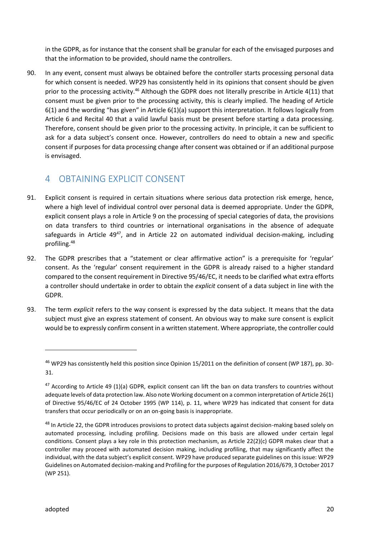in the GDPR, as for instance that the consent shall be granular for each of the envisaged purposes and that the information to be provided, should name the controllers.

90. In any event, consent must always be obtained before the controller starts processing personal data for which consent is needed. WP29 has consistently held in its opinions that consent should be given prior to the processing activity.<sup>46</sup> Although the GDPR does not literally prescribe in Article 4(11) that consent must be given prior to the processing activity, this is clearly implied. The heading of Article 6(1) and the wording "has given" in Article 6(1)(a) support this interpretation. It follows logically from Article 6 and Recital 40 that a valid lawful basis must be present before starting a data processing. Therefore, consent should be given prior to the processing activity. In principle, it can be sufficient to ask for a data subject's consent once. However, controllers do need to obtain a new and specific consent if purposes for data processing change after consent was obtained or if an additional purpose is envisaged.

## 4 OBTAINING EXPLICIT CONSENT

- 91. Explicit consent is required in certain situations where serious data protection risk emerge, hence, where a high level of individual control over personal data is deemed appropriate. Under the GDPR, explicit consent plays a role in Article 9 on the processing of special categories of data, the provisions on data transfers to third countries or international organisations in the absence of adequate safeguards in Article  $49^{47}$ , and in Article 22 on automated individual decision-making, including profiling.<sup>48</sup>
- 92. The GDPR prescribes that a "statement or clear affirmative action" is a prerequisite for 'regular' consent. As the 'regular' consent requirement in the GDPR is already raised to a higher standard compared to the consent requirement in Directive 95/46/EC, it needs to be clarified what extra efforts a controller should undertake in order to obtain the *explicit* consent of a data subject in line with the GDPR.
- 93. The term *explicit* refers to the way consent is expressed by the data subject. It means that the data subject must give an express statement of consent. An obvious way to make sure consent is explicit would be to expressly confirm consent in a written statement. Where appropriate, the controller could

<sup>46</sup> WP29 has consistently held this position since Opinion 15/2011 on the definition of consent (WP 187), pp. 30- 31.

 $47$  According to Article 49 (1)(a) GDPR, explicit consent can lift the ban on data transfers to countries without adequate levels of data protection law. Also note Working document on a common interpretation of Article 26(1) of Directive 95/46/EC of 24 October 1995 (WP 114), p. 11, where WP29 has indicated that consent for data transfers that occur periodically or on an on-going basis is inappropriate.

<sup>&</sup>lt;sup>48</sup> In Article 22, the GDPR introduces provisions to protect data subjects against decision-making based solely on automated processing, including profiling. Decisions made on this basis are allowed under certain legal conditions. Consent plays a key role in this protection mechanism, as Article 22(2)(c) GDPR makes clear that a controller may proceed with automated decision making, including profiling, that may significantly affect the individual, with the data subject's explicit consent. WP29 have produced separate guidelines on this issue: WP29 Guidelines on Automated decision-making and Profiling for the purposes of Regulation 2016/679, 3 October 2017 (WP 251).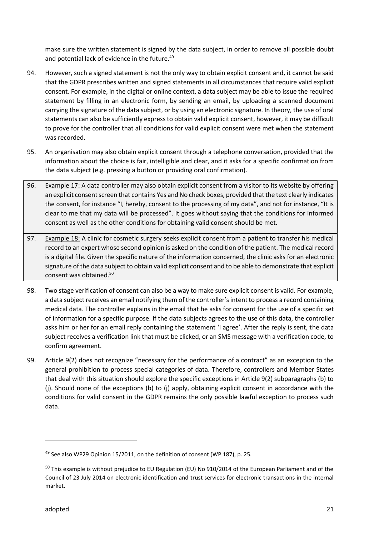make sure the written statement is signed by the data subject, in order to remove all possible doubt and potential lack of evidence in the future.<sup>49</sup>

- 94. However, such a signed statement is not the only way to obtain explicit consent and, it cannot be said that the GDPR prescribes written and signed statements in all circumstances that require valid explicit consent. For example, in the digital or online context, a data subject may be able to issue the required statement by filling in an electronic form, by sending an email, by uploading a scanned document carrying the signature of the data subject, or by using an electronic signature. In theory, the use of oral statements can also be sufficiently express to obtain valid explicit consent, however, it may be difficult to prove for the controller that all conditions for valid explicit consent were met when the statement was recorded.
- 95. An organisation may also obtain explicit consent through a telephone conversation, provided that the information about the choice is fair, intelligible and clear, and it asks for a specific confirmation from the data subject (e.g. pressing a button or providing oral confirmation).
- 96. Example 17: A data controller may also obtain explicit consent from a visitor to its website by offering an explicit consent screen that contains Yes and No check boxes, provided that the text clearly indicates the consent, for instance "I, hereby, consent to the processing of my data", and not for instance, "It is clear to me that my data will be processed". It goes without saying that the conditions for informed consent as well as the other conditions for obtaining valid consent should be met.
- 97. Example 18: A clinic for cosmetic surgery seeks explicit consent from a patient to transfer his medical record to an expert whose second opinion is asked on the condition of the patient. The medical record is a digital file. Given the specific nature of the information concerned, the clinic asks for an electronic signature of the data subject to obtain valid explicit consent and to be able to demonstrate that explicit consent was obtained.<sup>50</sup>
- 98. Two stage verification of consent can also be a way to make sure explicit consent is valid. For example, a data subject receives an email notifying them of the controller's intent to process a record containing medical data. The controller explains in the email that he asks for consent for the use of a specific set of information for a specific purpose. If the data subjects agrees to the use of this data, the controller asks him or her for an email reply containing the statement 'I agree'. After the reply is sent, the data subject receives a verification link that must be clicked, or an SMS message with a verification code, to confirm agreement.
- 99. Article 9(2) does not recognize "necessary for the performance of a contract" as an exception to the general prohibition to process special categories of data. Therefore, controllers and Member States that deal with this situation should explore the specific exceptions in Article 9(2) subparagraphs (b) to (j). Should none of the exceptions (b) to (j) apply, obtaining explicit consent in accordance with the conditions for valid consent in the GDPR remains the only possible lawful exception to process such data.

 $49$  See also WP29 Opinion 15/2011, on the definition of consent (WP 187), p. 25.

<sup>&</sup>lt;sup>50</sup> This example is without prejudice to EU Regulation (EU) No 910/2014 of the European Parliament and of the Council of 23 July 2014 on electronic identification and trust services for electronic transactions in the internal market.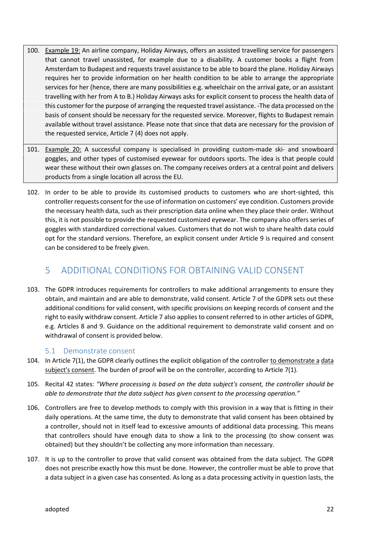- 100. Example 19: An airline company, Holiday Airways, offers an assisted travelling service for passengers that cannot travel unassisted, for example due to a disability. A customer books a flight from Amsterdam to Budapest and requests travel assistance to be able to board the plane. Holiday Airways requires her to provide information on her health condition to be able to arrange the appropriate services for her (hence, there are many possibilities e.g. wheelchair on the arrival gate, or an assistant travelling with her from A to B.) Holiday Airways asks for explicit consent to process the health data of this customer for the purpose of arranging the requested travel assistance. -The data processed on the basis of consent should be necessary for the requested service. Moreover, flights to Budapest remain available without travel assistance. Please note that since that data are necessary for the provision of the requested service, Article 7 (4) does not apply.
- 101. Example 20: A successful company is specialised in providing custom-made ski- and snowboard goggles, and other types of customised eyewear for outdoors sports. The idea is that people could wear these without their own glasses on. The company receives orders at a central point and delivers products from a single location all across the EU.
- 102. In order to be able to provide its customised products to customers who are short-sighted, this controller requests consent for the use of information on customers' eye condition. Customers provide the necessary health data, such as their prescription data online when they place their order. Without this, it is not possible to provide the requested customized eyewear. The company also offers series of goggles with standardized correctional values. Customers that do not wish to share health data could opt for the standard versions. Therefore, an explicit consent under Article 9 is required and consent can be considered to be freely given.

## 5 ADDITIONAL CONDITIONS FOR OBTAINING VALID CONSENT

103. The GDPR introduces requirements for controllers to make additional arrangements to ensure they obtain, and maintain and are able to demonstrate, valid consent. Article 7 of the GDPR sets out these additional conditions for valid consent, with specific provisions on keeping records of consent and the right to easily withdraw consent. Article 7 also applies to consent referred to in other articles of GDPR, e.g. Articles 8 and 9. Guidance on the additional requirement to demonstrate valid consent and on withdrawal of consent is provided below.

#### 5.1 Demonstrate consent

- 104. In Article 7(1), the GDPR clearly outlines the explicit obligation of the controller to demonstrate a data subject's consent. The burden of proof will be on the controller, according to Article 7(1).
- 105. Recital 42 states: *"Where processing is based on the data subject's consent, the controller should be able to demonstrate that the data subject has given consent to the processing operation."*
- 106. Controllers are free to develop methods to comply with this provision in a way that is fitting in their daily operations. At the same time, the duty to demonstrate that valid consent has been obtained by a controller, should not in itself lead to excessive amounts of additional data processing. This means that controllers should have enough data to show a link to the processing (to show consent was obtained) but they shouldn't be collecting any more information than necessary.
- 107. It is up to the controller to prove that valid consent was obtained from the data subject. The GDPR does not prescribe exactly how this must be done. However, the controller must be able to prove that a data subject in a given case has consented. As long as a data processing activity in question lasts, the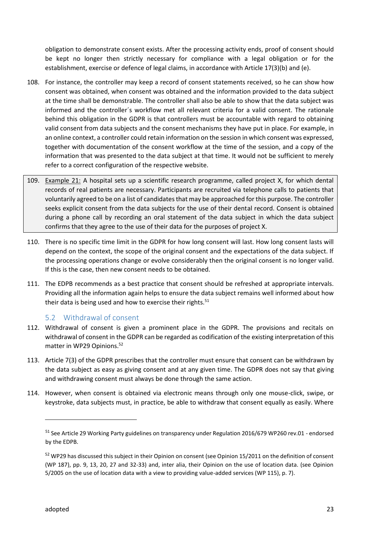obligation to demonstrate consent exists. After the processing activity ends, proof of consent should be kept no longer then strictly necessary for compliance with a legal obligation or for the establishment, exercise or defence of legal claims, in accordance with Article 17(3)(b) and (e).

- 108. For instance, the controller may keep a record of consent statements received, so he can show how consent was obtained, when consent was obtained and the information provided to the data subject at the time shall be demonstrable. The controller shall also be able to show that the data subject was informed and the controller´s workflow met all relevant criteria for a valid consent. The rationale behind this obligation in the GDPR is that controllers must be accountable with regard to obtaining valid consent from data subjects and the consent mechanisms they have put in place. For example, in an online context, a controller could retain information on the session in which consent was expressed, together with documentation of the consent workflow at the time of the session, and a copy of the information that was presented to the data subject at that time. It would not be sufficient to merely refer to a correct configuration of the respective website.
- 109. Example 21: A hospital sets up a scientific research programme, called project X, for which dental records of real patients are necessary. Participants are recruited via telephone calls to patients that voluntarily agreed to be on a list of candidates that may be approached for this purpose. The controller seeks explicit consent from the data subjects for the use of their dental record. Consent is obtained during a phone call by recording an oral statement of the data subject in which the data subject confirms that they agree to the use of their data for the purposes of project X.
- 110. There is no specific time limit in the GDPR for how long consent will last. How long consent lasts will depend on the context, the scope of the original consent and the expectations of the data subject. If the processing operations change or evolve considerably then the original consent is no longer valid. If this is the case, then new consent needs to be obtained.
- 111. The EDPB recommends as a best practice that consent should be refreshed at appropriate intervals. Providing all the information again helps to ensure the data subject remains well informed about how their data is being used and how to exercise their rights.<sup>51</sup>

#### 5.2 Withdrawal of consent

- 112. Withdrawal of consent is given a prominent place in the GDPR. The provisions and recitals on withdrawal of consent in the GDPR can be regarded as codification of the existing interpretation of this matter in WP29 Opinions.<sup>52</sup>
- 113. Article 7(3) of the GDPR prescribes that the controller must ensure that consent can be withdrawn by the data subject as easy as giving consent and at any given time. The GDPR does not say that giving and withdrawing consent must always be done through the same action.
- 114. However, when consent is obtained via electronic means through only one mouse-click, swipe, or keystroke, data subjects must, in practice, be able to withdraw that consent equally as easily. Where

<sup>&</sup>lt;sup>51</sup> See Article 29 Working Party guidelines on transparency under Regulation 2016/679 WP260 rev.01 - endorsed by the EDPB.

<sup>&</sup>lt;sup>52</sup> WP29 has discussed this subject in their Opinion on consent (see Opinion 15/2011 on the definition of consent (WP 187), pp. 9, 13, 20, 27 and 32-33) and, inter alia, their Opinion on the use of location data. (see Opinion 5/2005 on the use of location data with a view to providing value-added services (WP 115), p. 7).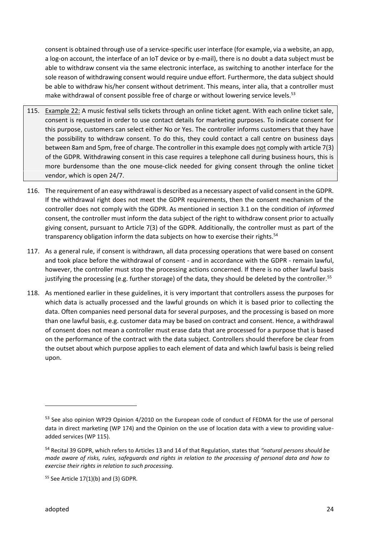consent is obtained through use of a service-specific user interface (for example, via a website, an app, a log-on account, the interface of an IoT device or by e-mail), there is no doubt a data subject must be able to withdraw consent via the same electronic interface, as switching to another interface for the sole reason of withdrawing consent would require undue effort. Furthermore, the data subject should be able to withdraw his/her consent without detriment. This means, inter alia, that a controller must make withdrawal of consent possible free of charge or without lowering service levels.<sup>53</sup>

- 115. Example 22: A music festival sells tickets through an online ticket agent. With each online ticket sale, consent is requested in order to use contact details for marketing purposes. To indicate consent for this purpose, customers can select either No or Yes. The controller informs customers that they have the possibility to withdraw consent. To do this, they could contact a call centre on business days between 8am and 5pm, free of charge. The controller in this example does not comply with article 7(3) of the GDPR. Withdrawing consent in this case requires a telephone call during business hours, this is more burdensome than the one mouse-click needed for giving consent through the online ticket vendor, which is open 24/7.
- 116. The requirement of an easy withdrawal is described as a necessary aspect of valid consent in the GDPR. If the withdrawal right does not meet the GDPR requirements, then the consent mechanism of the controller does not comply with the GDPR. As mentioned in section 3.1 on the condition of *informed* consent, the controller must inform the data subject of the right to withdraw consent prior to actually giving consent, pursuant to Article 7(3) of the GDPR. Additionally, the controller must as part of the transparency obligation inform the data subjects on how to exercise their rights.<sup>54</sup>
- 117. As a general rule, if consent is withdrawn, all data processing operations that were based on consent and took place before the withdrawal of consent - and in accordance with the GDPR - remain lawful, however, the controller must stop the processing actions concerned. If there is no other lawful basis justifying the processing (e.g. further storage) of the data, they should be deleted by the controller.<sup>55</sup>
- 118. As mentioned earlier in these guidelines, it is very important that controllers assess the purposes for which data is actually processed and the lawful grounds on which it is based prior to collecting the data. Often companies need personal data for several purposes, and the processing is based on more than one lawful basis, e.g. customer data may be based on contract and consent. Hence, a withdrawal of consent does not mean a controller must erase data that are processed for a purpose that is based on the performance of the contract with the data subject. Controllers should therefore be clear from the outset about which purpose applies to each element of data and which lawful basis is being relied upon.

<sup>53</sup> See also opinion WP29 Opinion 4/2010 on the European code of conduct of FEDMA for the use of personal data in direct marketing (WP 174) and the Opinion on the use of location data with a view to providing value added services (WP 115).

<sup>54</sup> Recital 39 GDPR, which refers to Articles 13 and 14 of that Regulation, states that *"natural persons should be made aware of risks, rules, safeguards and rights in relation to the processing of personal data and how to exercise their rights in relation to such processing.*

 $55$  See Article 17(1)(b) and (3) GDPR.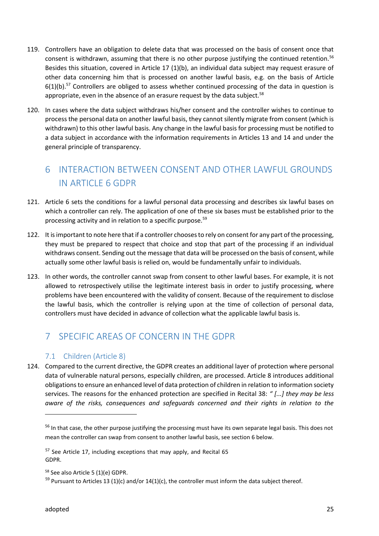- 119. Controllers have an obligation to delete data that was processed on the basis of consent once that consent is withdrawn, assuming that there is no other purpose justifying the continued retention.<sup>56</sup> Besides this situation, covered in Article 17 (1)(b), an individual data subject may request erasure of other data concerning him that is processed on another lawful basis, e.g. on the basis of Article  $6(1)(b)$ .<sup>57</sup> Controllers are obliged to assess whether continued processing of the data in question is appropriate, even in the absence of an erasure request by the data subject. $58$
- 120. In cases where the data subject withdraws his/her consent and the controller wishes to continue to process the personal data on another lawful basis, they cannot silently migrate from consent (which is withdrawn) to this other lawful basis. Any change in the lawful basis for processing must be notified to a data subject in accordance with the information requirements in Articles 13 and 14 and under the general principle of transparency.

## 6 INTERACTION BETWEEN CONSENT AND OTHER LAWFUL GROUNDS IN ARTICLE 6 GDPR

- 121. Article 6 sets the conditions for a lawful personal data processing and describes six lawful bases on which a controller can rely. The application of one of these six bases must be established prior to the processing activity and in relation to a specific purpose.<sup>59</sup>
- 122. It is important to note here that if a controller chooses to rely on consent for any part of the processing, they must be prepared to respect that choice and stop that part of the processing if an individual withdraws consent. Sending out the message that data will be processed on the basis of consent, while actually some other lawful basis is relied on, would be fundamentally unfair to individuals.
- 123. In other words, the controller cannot swap from consent to other lawful bases. For example, it is not allowed to retrospectively utilise the legitimate interest basis in order to justify processing, where problems have been encountered with the validity of consent. Because of the requirement to disclose the lawful basis, which the controller is relying upon at the time of collection of personal data, controllers must have decided in advance of collection what the applicable lawful basis is.

## 7 SPECIFIC AREAS OF CONCERN IN THE GDPR

#### 7.1 Children (Article 8)

124. Compared to the current directive, the GDPR creates an additional layer of protection where personal data of vulnerable natural persons, especially children, are processed. Article 8 introduces additional obligations to ensure an enhanced level of data protection of children in relation to information society services. The reasons for the enhanced protection are specified in Recital 38: *" [...] they may be less aware of the risks, consequences and safeguards concerned and their rights in relation to the*

<sup>&</sup>lt;sup>56</sup> In that case, the other purpose justifying the processing must have its own separate legal basis. This does not mean the controller can swap from consent to another lawful basis, see section 6 below.

 $57$  See Article 17, including exceptions that may apply, and Recital 65 GDPR.

<sup>58</sup> See also Article 5 (1)(e) GDPR.

 $59$  Pursuant to Articles 13 (1)(c) and/or 14(1)(c), the controller must inform the data subject thereof.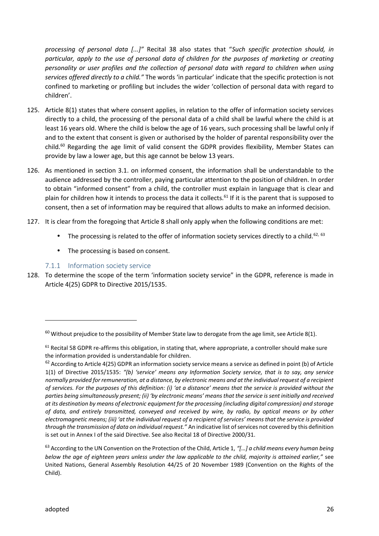*processing of personal data [...]"* Recital 38 also states that "*Such specific protection should, in particular, apply to the use of personal data of children for the purposes of marketing or creating personality or user profiles and the collection of personal data with regard to children when using services offered directly to a child."* The words 'in particular' indicate that the specific protection is not confined to marketing or profiling but includes the wider 'collection of personal data with regard to children'.

- 125. Article 8(1) states that where consent applies, in relation to the offer of information society services directly to a child, the processing of the personal data of a child shall be lawful where the child is at least 16 years old. Where the child is below the age of 16 years, such processing shall be lawful only if and to the extent that consent is given or authorised by the holder of parental responsibility over the child.<sup>60</sup> Regarding the age limit of valid consent the GDPR provides flexibility, Member States can provide by law a lower age, but this age cannot be below 13 years.
- 126. As mentioned in section 3.1. on informed consent, the information shall be understandable to the audience addressed by the controller, paying particular attention to the position of children. In order to obtain "informed consent" from a child, the controller must explain in language that is clear and plain for children how it intends to process the data it collects.<sup>61</sup> If it is the parent that is supposed to consent, then a set of information may be required that allows adults to make an informed decision.
- 127. It is clear from the foregoing that Article 8 shall only apply when the following conditions are met:
	- The processing is related to the offer of information society services directly to a child.<sup>62, 63</sup>
	- $\parallel$  The processing is based on consent.

#### 7.1.1 Information society service

128. To determine the scope of the term 'information society service" in the GDPR, reference is made in Article 4(25) GDPR to Directive 2015/1535.

 $60$  Without prejudice to the possibility of Member State law to derogate from the age limit, see Article 8(1).

<sup>&</sup>lt;sup>61</sup> Recital 58 GDPR re-affirms this obligation, in stating that, where appropriate, a controller should make sure the information provided is understandable for children.

 $62$  According to Article 4(25) GDPR an information society service means a service as defined in point (b) of Article 1(1) of Directive 2015/1535: *"(b) 'service' means any Information Society service, that is to say, any service normally provided for remuneration, at a distance, by electronic means and at the individual request of a recipient of services. For the purposes of this definition: (i) 'at a distance' means that the service is provided without the parties being simultaneously present; (ii) 'by electronic means' means that the service is sent initially and received at its destination by means of electronic equipment for the processing (including digital compression) and storage of data, and entirely transmitted, conveyed and received by wire, by radio, by optical means or by other electromagnetic means; (iii) 'at the individual request of a recipient of services' means that the service is provided through the transmission of data on individual request."* An indicative list of services not covered by this definition is set out in Annex I of the said Directive. See also Recital 18 of Directive 2000/31.

<sup>63</sup> According to the UN Convention on the Protection of the Child, Article 1, *"[…] a child means every human being below the age of eighteen years unless under the law applicable to the child, majority is attained earlier,"* see United Nations, General Assembly Resolution 44/25 of 20 November 1989 (Convention on the Rights of the Child).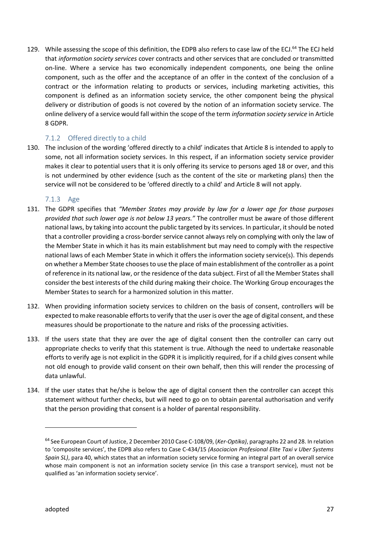129. While assessing the scope of this definition, the EDPB also refers to case law of the ECJ.<sup>64</sup> The ECJ held that *information society services* cover contracts and other services that are concluded or transmitted on-line. Where a service has two economically independent components, one being the online component, such as the offer and the acceptance of an offer in the context of the conclusion of a contract or the information relating to products or services, including marketing activities, this component is defined as an information society service, the other component being the physical delivery or distribution of goods is not covered by the notion of an information society service. The online delivery of a service would fall within the scope of the term *information society service* in Article 8 GDPR.

#### 7.1.2 Offered directly to a child

130. The inclusion of the wording 'offered directly to a child' indicates that Article 8 is intended to apply to some, not all information society services. In this respect, if an information society service provider makes it clear to potential users that it is only offering its service to persons aged 18 or over, and this is not undermined by other evidence (such as the content of the site or marketing plans) then the service will not be considered to be 'offered directly to a child' and Article 8 will not apply.

#### 7.1.3 Age

- 131. The GDPR specifies that *"Member States may provide by law for a lower age for those purposes provided that such lower age is not below 13 years."* The controller must be aware of those different national laws, by taking into account the public targeted by its services. In particular, it should be noted that a controller providing a cross-border service cannot always rely on complying with only the law of the Member State in which it has its main establishment but may need to comply with the respective national laws of each Member State in which it offers the information society service(s). This depends on whether a Member State chooses to use the place of main establishment of the controller as a point of reference in its national law, or the residence of the data subject. First of all the Member States shall consider the best interests of the child during making their choice. The Working Group encourages the Member States to search for a harmonized solution in this matter.
- 132. When providing information society services to children on the basis of consent, controllers will be expected to make reasonable efforts to verify that the user is over the age of digital consent, and these measures should be proportionate to the nature and risks of the processing activities.
- 133. If the users state that they are over the age of digital consent then the controller can carry out appropriate checks to verify that this statement is true. Although the need to undertake reasonable efforts to verify age is not explicit in the GDPR it is implicitly required, for if a child gives consent while not old enough to provide valid consent on their own behalf, then this will render the processing of data unlawful.
- 134. If the user states that he/she is below the age of digital consent then the controller can accept this statement without further checks, but will need to go on to obtain parental authorisation and verify that the person providing that consent is a holder of parental responsibility.

<sup>64</sup> See European Court of Justice, 2 December 2010 Case C-108/09, (*Ker-Optika)*, paragraphs 22 and 28. In relation to 'composite services', the EDPB also refers to Case C-434/15 *(Asociacion Profesional Elite Taxi v Uber Systems Spain SL)*, para 40, which states that an information society service forming an integral part of an overall service whose main component is not an information society service (in this case a transport service), must not be qualified as 'an information society service'.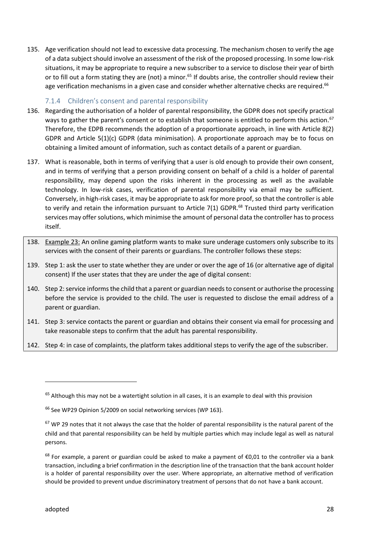135. Age verification should not lead to excessive data processing. The mechanism chosen to verify the age of a data subject should involve an assessment of the risk of the proposed processing. In some low-risk situations, it may be appropriate to require a new subscriber to a service to disclose their year of birth or to fill out a form stating they are (not) a minor.<sup>65</sup> If doubts arise, the controller should review their age verification mechanisms in a given case and consider whether alternative checks are required.<sup>66</sup>

#### 7.1.4 Children's consent and parental responsibility

- 136. Regarding the authorisation of a holder of parental responsibility, the GDPR does not specify practical ways to gather the parent's consent or to establish that someone is entitled to perform this action.<sup>67</sup> Therefore, the EDPB recommends the adoption of a proportionate approach, in line with Article 8(2) GDPR and Article 5(1)(c) GDPR (data minimisation). A proportionate approach may be to focus on obtaining a limited amount of information, such as contact details of a parent or guardian.
- 137. What is reasonable, both in terms of verifying that a user is old enough to provide their own consent, and in terms of verifying that a person providing consent on behalf of a child is a holder of parental responsibility, may depend upon the risks inherent in the processing as well as the available technology. In low-risk cases, verification of parental responsibility via email may be sufficient. Conversely, in high-risk cases, it may be appropriate to ask for more proof, so that the controller is able to verify and retain the information pursuant to Article 7(1) GDPR. $^{68}$  Trusted third party verification services may offer solutions, which minimise the amount of personal data the controller has to process itself.
- 138. Example 23: An online gaming platform wants to make sure underage customers only subscribe to its services with the consent of their parents or guardians. The controller follows these steps:
- 139. Step 1: ask the user to state whether they are under or over the age of 16 (or alternative age of digital consent) If the user states that they are under the age of digital consent:
- 140. Step 2: service informs the child that a parent or guardian needs to consent or authorise the processing before the service is provided to the child. The user is requested to disclose the email address of a parent or guardian.
- 141. Step 3: service contacts the parent or guardian and obtains their consent via email for processing and take reasonable steps to confirm that the adult has parental responsibility.
- 142. Step 4: in case of complaints, the platform takes additional steps to verify the age of the subscriber.

<sup>&</sup>lt;sup>65</sup> Although this may not be a watertight solution in all cases, it is an example to deal with this provision

<sup>&</sup>lt;sup>66</sup> See WP29 Opinion 5/2009 on social networking services (WP 163).

 $67$  WP 29 notes that it not always the case that the holder of parental responsibility is the natural parent of the child and that parental responsibility can be held by multiple parties which may include legal as well as natural persons.

<sup>&</sup>lt;sup>68</sup> For example, a parent or guardian could be asked to make a payment of €0,01 to the controller via a bank transaction, including a brief confirmation in the description line of the transaction that the bank account holder is a holder of parental responsibility over the user. Where appropriate, an alternative method of verification should be provided to prevent undue discriminatory treatment of persons that do not have a bank account.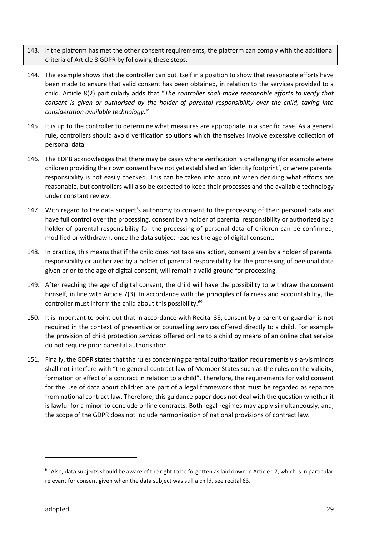- 143. If the platform has met the other consent requirements, the platform can comply with the additional criteria of Article 8 GDPR by following these steps.
- 144. The example shows that the controller can put itself in a position to show that reasonable efforts have been made to ensure that valid consent has been obtained, in relation to the services provided to a child. Article 8(2) particularly adds that "*The controller shall make reasonable efforts to verify that consent is given or authorised by the holder of parental responsibility over the child, taking into consideration available technology."*
- 145. It is up to the controller to determine what measures are appropriate in a specific case. As a general rule, controllers should avoid verification solutions which themselves involve excessive collection of personal data.
- 146. The EDPB acknowledges that there may be cases where verification is challenging (for example where children providing their own consent have not yet established an 'identity footprint', or where parental responsibility is not easily checked. This can be taken into account when deciding what efforts are reasonable, but controllers will also be expected to keep their processes and the available technology under constant review.
- 147. With regard to the data subject's autonomy to consent to the processing of their personal data and have full control over the processing, consent by a holder of parental responsibility or authorized by a holder of parental responsibility for the processing of personal data of children can be confirmed, modified or withdrawn, once the data subject reaches the age of digital consent.
- 148. In practice, this means that if the child does not take any action, consent given by a holder of parental responsibility or authorized by a holder of parental responsibility for the processing of personal data given prior to the age of digital consent, will remain a valid ground for processing.
- 149. After reaching the age of digital consent, the child will have the possibility to withdraw the consent himself, in line with Article 7(3). In accordance with the principles of fairness and accountability, the controller must inform the child about this possibility.<sup>69</sup>
- 150. It is important to point out that in accordance with Recital 38, consent by a parent or guardian is not required in the context of preventive or counselling services offered directly to a child. For example the provision of child protection services offered online to a child by means of an online chat service do not require prior parental authorisation.
- 151. Finally, the GDPR states that the rules concerning parental authorization requirements vis-à-vis minors shall not interfere with "the general contract law of Member States such as the rules on the validity, formation or effect of a contract in relation to a child". Therefore, the requirements for valid consent for the use of data about children are part of a legal framework that must be regarded as separate from national contract law. Therefore, this guidance paper does not deal with the question whether it is lawful for a minor to conclude online contracts. Both legal regimes may apply simultaneously, and, the scope of the GDPR does not include harmonization of national provisions of contract law.

 $69$  Also, data subjects should be aware of the right to be forgotten as laid down in Article 17, which is in particular relevant for consent given when the data subject was still a child, see recital 63.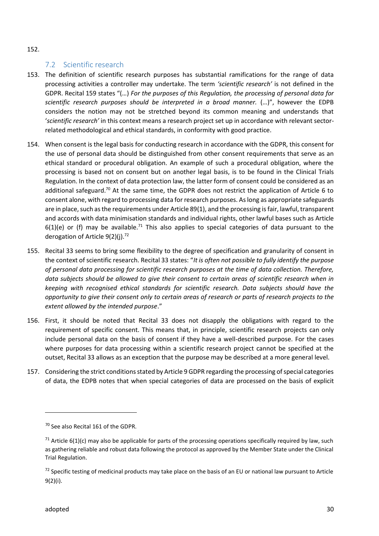#### 152.

#### 7.2 Scientific research

- 153. The definition of scientific research purposes has substantial ramifications for the range of data processing activities a controller may undertake. The term *'scientific research'* is not defined in the GDPR. Recital 159 states "(…) *For the purposes of this Regulation, the processing of personal data for scientific research purposes should be interpreted in a broad manner.* (…)", however the EDPB considers the notion may not be stretched beyond its common meaning and understands that '*scientific research'* in this context means a research project set up in accordance with relevant sector related methodological and ethical standards, in conformity with good practice.
- 154. When consent is the legal basis for conducting research in accordance with the GDPR, this consent for the use of personal data should be distinguished from other consent requirements that serve as an ethical standard or procedural obligation. An example of such a procedural obligation, where the processing is based not on consent but on another legal basis, is to be found in the Clinical Trials Regulation. In the context of data protection law, the latter form of consent could be considered as an additional safeguard.<sup>70</sup> At the same time, the GDPR does not restrict the application of Article 6 to consent alone, with regard to processing data for research purposes. As long as appropriate safeguards are in place, such as the requirements under Article 89(1), and the processing is fair, lawful, transparent and accords with data minimisation standards and individual rights, other lawful bases such as Article  $6(1)(e)$  or (f) may be available.<sup>71</sup> This also applies to special categories of data pursuant to the derogation of Article 9(2)(i).<sup>72</sup>
- 155. Recital 33 seems to bring some flexibility to the degree of specification and granularity of consent in the context of scientific research. Recital 33 states: "*It is often not possible to fully identify the purpose of personal data processing for scientific research purposes at the time of data collection. Therefore, data subjects should be allowed to give their consent to certain areas of scientific research when in keeping with recognised ethical standards for scientific research. Data subjects should have the opportunity to give their consent only to certain areas of research or parts of research projects to the extent allowed by the intended purpose*."
- 156. First, it should be noted that Recital 33 does not disapply the obligations with regard to the requirement of specific consent. This means that, in principle, scientific research projects can only include personal data on the basis of consent if they have a well-described purpose. For the cases where purposes for data processing within a scientific research project cannot be specified at the outset, Recital 33 allows as an exception that the purpose may be described at a more general level.
- 157. Considering the strict conditions stated by Article 9 GDPR regarding the processing of special categories of data, the EDPB notes that when special categories of data are processed on the basis of explicit

<sup>&</sup>lt;sup>70</sup> See also Recital 161 of the GDPR.

 $71$  Article 6(1)(c) may also be applicable for parts of the processing operations specifically required by law, such as gathering reliable and robust data following the protocol as approved by the Member State under the Clinical Trial Regulation.

 $<sup>72</sup>$  Specific testing of medicinal products may take place on the basis of an EU or national law pursuant to Article</sup> 9(2)(i).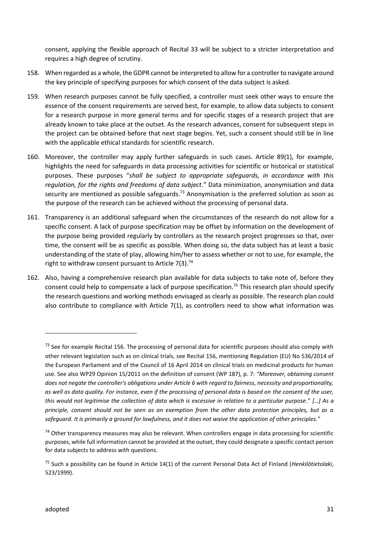consent, applying the flexible approach of Recital 33 will be subject to a stricter interpretation and requires a high degree of scrutiny.

- 158. When regarded as a whole, the GDPR cannot be interpreted to allow for a controller to navigate around the key principle of specifying purposes for which consent of the data subject is asked.
- 159. When research purposes cannot be fully specified, a controller must seek other ways to ensure the essence of the consent requirements are served best, for example, to allow data subjects to consent for a research purpose in more general terms and for specific stages of a research project that are already known to take place at the outset. As the research advances, consent for subsequent steps in the project can be obtained before that next stage begins. Yet, such a consent should still be in line with the applicable ethical standards for scientific research.
- 160. Moreover, the controller may apply further safeguards in such cases. Article 89(1), for example, highlights the need for safeguards in data processing activities for scientific or historical or statistical purposes. These purposes "*shall be subject to appropriate safeguards, in accordance with this regulation, for the rights and freedoms of data subject*." Data minimization, anonymisation and data security are mentioned as possible safeguards.<sup>73</sup> Anonymisation is the preferred solution as soon as the purpose of the research can be achieved without the processing of personal data.
- 161. Transparency is an additional safeguard when the circumstances of the research do not allow for a specific consent. A lack of purpose specification may be offset by information on the development of the purpose being provided regularly by controllers as the research project progresses so that, over time, the consent will be as specific as possible. When doing so, the data subject has at least a basic understanding of the state of play, allowing him/her to assess whether or not to use, for example, the right to withdraw consent pursuant to Article  $7(3)$ .<sup>74</sup>
- 162. Also, having a comprehensive research plan available for data subjects to take note of, before they consent could help to compensate a lack of purpose specification.<sup>75</sup> This research plan should specify the research questions and working methods envisaged as clearly as possible. The research plan could also contribute to compliance with Article 7(1), as controllers need to show what information was

 $<sup>73</sup>$  See for example Recital 156. The processing of personal data for scientific purposes should also comply with</sup> other relevant legislation such as on clinical trials, see Recital 156, mentioning Regulation (EU) No 536/2014 of the European Parliament and of the Council of 16 April 2014 on clinical trials on medicinal products for human use. See also WP29 Opinion 15/2011 on the definition of consent (WP 187), p. 7: *"Moreover, obtaining consent does not negate the controller's obligations under Article 6 with regard to fairness, necessity and proportionality, as well as data quality. For instance, even if the processing of personal data is based on the consent of the user, this would not legitimise the collection of data which is excessive in relation to a particular purpose*." *[…] As a principle, consent should not be seen as an exemption from the other data protection principles, but as a safeguard. It is primarily a ground for lawfulness, and it does not waive the application of other principles."*

<sup>&</sup>lt;sup>74</sup> Other transparency measures may also be relevant. When controllers engage in data processing for scientific purposes, while full information cannot be provided at the outset, they could designate a specific contact person for data subjects to address with questions.

<sup>75</sup> Such a possibility can be found in Article 14(1) of the current Personal Data Act of Finland (*Henkilötietolaki*, 523/1999).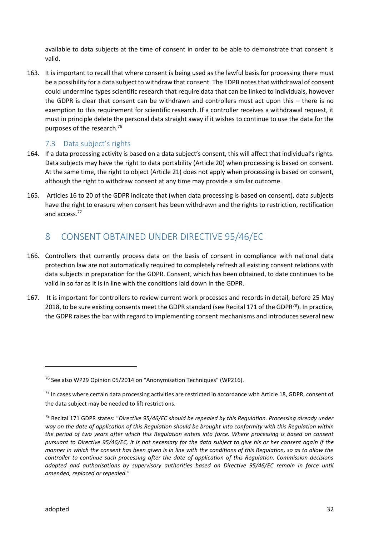available to data subjects at the time of consent in order to be able to demonstrate that consent is valid.

163. It is important to recall that where consent is being used as the lawful basis for processing there must be a possibility for a data subject to withdraw that consent. The EDPB notes that withdrawal of consent could undermine types scientific research that require data that can be linked to individuals, however the GDPR is clear that consent can be withdrawn and controllers must act upon this – there is no exemption to this requirement for scientific research. If a controller receives a withdrawal request, it must in principle delete the personal data straight away if it wishes to continue to use the data for the purposes of the research.<sup>76</sup>

#### 7.3 Data subject's rights

- 164. If a data processing activity is based on a data subject's consent, this will affect that individual's rights. Data subjects may have the right to data portability (Article 20) when processing is based on consent. At the same time, the right to object (Article 21) does not apply when processing is based on consent, although the right to withdraw consent at any time may provide a similar outcome.
- 165. Articles 16 to 20 of the GDPR indicate that (when data processing is based on consent), data subjects have the right to erasure when consent has been withdrawn and the rights to restriction, rectification and access.<sup>77</sup>

## 8 CONSENT OBTAINED UNDER DIRECTIVE 95/46/EC

- 166. Controllers that currently process data on the basis of consent in compliance with national data protection law are not automatically required to completely refresh all existing consent relations with data subjects in preparation for the GDPR. Consent, which has been obtained, to date continues to be valid in so far as it is in line with the conditions laid down in the GDPR.
- 167. It is important for controllers to review current work processes and records in detail, before 25 May 2018, to be sure existing consents meet the GDPR standard (see Recital 171 of the GDPR<sup>78</sup>). In practice, the GDPR raises the bar with regard to implementing consent mechanisms and introduces several new

<sup>76</sup> See also WP29 Opinion 05/2014 on "Anonymisation Techniques" (WP216).

 $<sup>77</sup>$  In cases where certain data processing activities are restricted in accordance with Article 18, GDPR, consent of</sup> the data subject may be needed to lift restrictions.

<sup>78</sup> Recital 171 GDPR states: "*Directive 95/46/EC should be repealed by this Regulation. Processing already under way on the date of application of this Regulation should be brought into conformity with this Regulation within the period of two years after which this Regulation enters into force. Where processing is based on consent pursuant to Directive 95/46/EC, it is not necessary for the data subject to give his or her consent again if the manner in which the consent has been given is in line with the conditions of this Regulation, so as to allow the controller to continue such processing after the date of application of this Regulation. Commission decisions adopted and authorisations by supervisory authorities based on Directive 95/46/EC remain in force until amended, replaced or repealed.*"